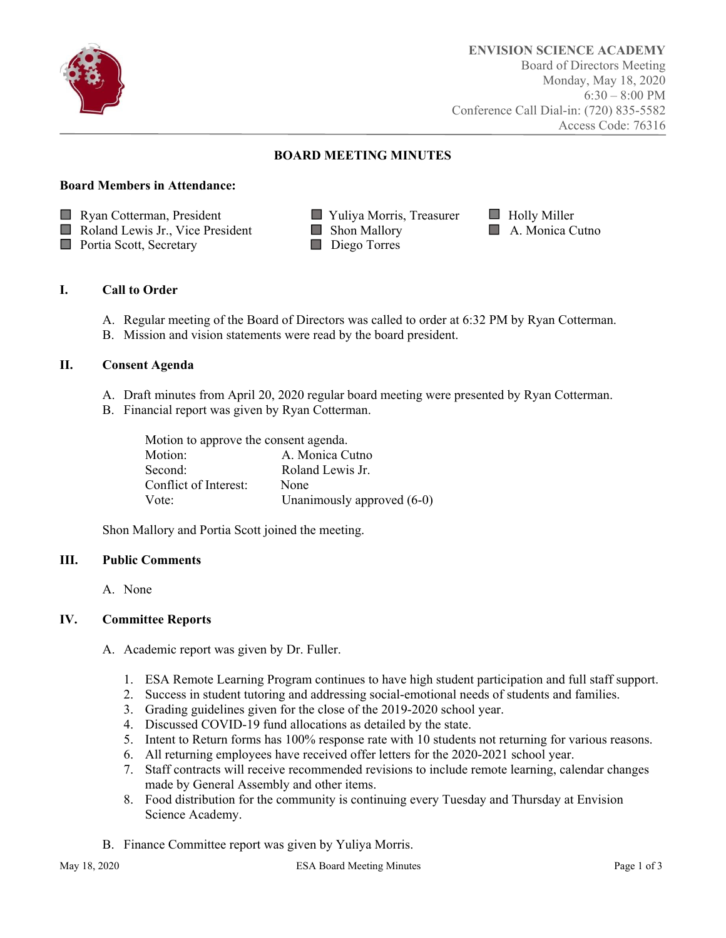

# **BOARD MEETING MINUTES**

### **Board Members in Attendance:**

- **Ryan Cotterman, President Transferred Willer** Yuliya Morris, Treasurer **Holly Miller**
- Roland Lewis Jr., Vice President Shon Mallory **Shon Mallory** A. Monica Cutno
- **Portia Scott, Secretary Property** Diego Torres
- 
- -

## **I. Call to Order**

- A. Regular meeting of the Board of Directors was called to order at 6:32 PM by Ryan Cotterman.
- B. Mission and vision statements were read by the board president.

## **II. Consent Agenda**

- A. Draft minutes from April 20, 2020 regular board meeting were presented by Ryan Cotterman.
- B. Financial report was given by Ryan Cotterman.

| Motion to approve the consent agenda. |  |  |  |
|---------------------------------------|--|--|--|
| A. Monica Cutno                       |  |  |  |
| Roland Lewis Jr.                      |  |  |  |
| None                                  |  |  |  |
| Unanimously approved (6-0)            |  |  |  |
|                                       |  |  |  |

Shon Mallory and Portia Scott joined the meeting.

#### **III. Public Comments**

A. None

## **IV. Committee Reports**

- A. Academic report was given by Dr. Fuller.
	- 1. ESA Remote Learning Program continues to have high student participation and full staff support.
	- 2. Success in student tutoring and addressing social-emotional needs of students and families.
	- 3. Grading guidelines given for the close of the 2019-2020 school year.
	- 4. Discussed COVID-19 fund allocations as detailed by the state.
	- 5. Intent to Return forms has 100% response rate with 10 students not returning for various reasons.
	- 6. All returning employees have received offer letters for the 2020-2021 school year.
	- 7. Staff contracts will receive recommended revisions to include remote learning, calendar changes made by General Assembly and other items.
	- 8. Food distribution for the community is continuing every Tuesday and Thursday at Envision Science Academy.
- B. Finance Committee report was given by Yuliya Morris.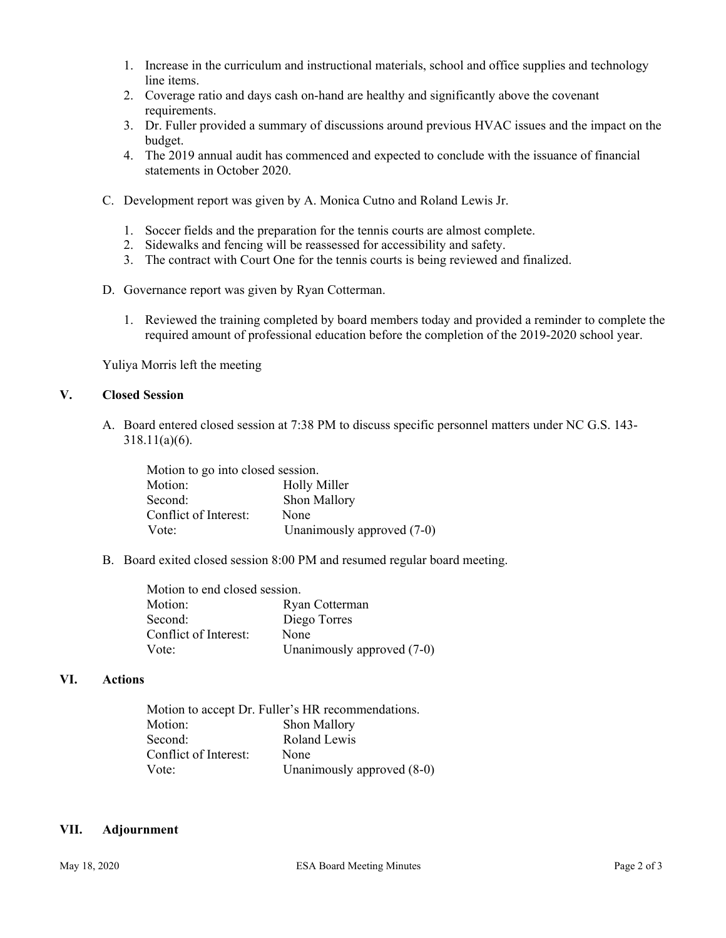- 1. Increase in the curriculum and instructional materials, school and office supplies and technology line items.
- 2. Coverage ratio and days cash on-hand are healthy and significantly above the covenant requirements.
- 3. Dr. Fuller provided a summary of discussions around previous HVAC issues and the impact on the budget.
- 4. The 2019 annual audit has commenced and expected to conclude with the issuance of financial statements in October 2020.
- C. Development report was given by A. Monica Cutno and Roland Lewis Jr.
	- 1. Soccer fields and the preparation for the tennis courts are almost complete.
	- 2. Sidewalks and fencing will be reassessed for accessibility and safety.
	- 3. The contract with Court One for the tennis courts is being reviewed and finalized.
- D. Governance report was given by Ryan Cotterman.
	- 1. Reviewed the training completed by board members today and provided a reminder to complete the required amount of professional education before the completion of the 2019-2020 school year.

Yuliya Morris left the meeting

### **V. Closed Session**

A. Board entered closed session at 7:38 PM to discuss specific personnel matters under NC G.S. 143- 318.11(a)(6).

| Motion to go into closed session. |                            |
|-----------------------------------|----------------------------|
| Motion:                           | <b>Holly Miller</b>        |
| Second:                           | Shon Mallory               |
| Conflict of Interest:             | None                       |
| Vote:                             | Unanimously approved (7-0) |

B. Board exited closed session 8:00 PM and resumed regular board meeting.

| Motion to end closed session. |                            |
|-------------------------------|----------------------------|
| Motion:                       | Ryan Cotterman             |
| Second:                       | Diego Torres               |
| Conflict of Interest:         | None                       |
| Vote:                         | Unanimously approved (7-0) |
|                               |                            |

## **VI. Actions**

|                       | Motion to accept Dr. Fuller's HR recommendations. |  |
|-----------------------|---------------------------------------------------|--|
| Motion:               | Shon Mallory                                      |  |
| Second:               | Roland Lewis                                      |  |
| Conflict of Interest: | None                                              |  |
| Vote <sup>-</sup>     | Unanimously approved (8-0)                        |  |

#### **VII. Adjournment**